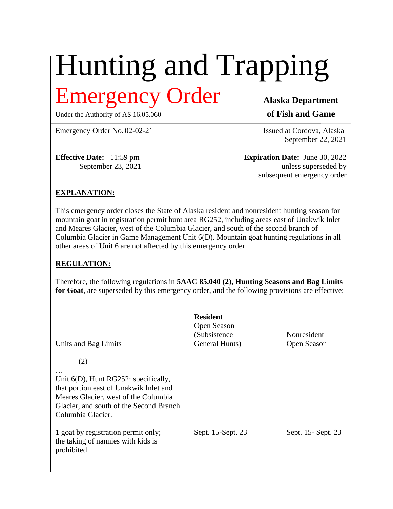# Hunting and Trapping Emergency Order **Alaska Department**

Under the Authority of AS 16.05.060 **of Fish and Game** 

Emergency Order No. 02-02-21 **Issued at Cordova**, Alaska

September 22, 2021

**Effective Date:** 11:59 pm **Expiration Date:** June 30, 2022 September 23, 2021 unless superseded by subsequent emergency order

# **EXPLANATION:**

This emergency order closes the State of Alaska resident and nonresident hunting season for mountain goat in registration permit hunt area RG252, including areas east of Unakwik Inlet and Meares Glacier, west of the Columbia Glacier, and south of the second branch of Columbia Glacier in Game Management Unit 6(D). Mountain goat hunting regulations in all other areas of Unit 6 are not affected by this emergency order.

# **REGULATION:**

Therefore, the following regulations in **5AAC 85.040 (2), Hunting Seasons and Bag Limits for Goat**, are superseded by this emergency order, and the following provisions are effective:

| Units and Bag Limits                                                                                                                                                                             | <b>Resident</b><br>Open Season<br>(Subsistence)<br>General Hunts) | Nonresident<br>Open Season |
|--------------------------------------------------------------------------------------------------------------------------------------------------------------------------------------------------|-------------------------------------------------------------------|----------------------------|
| (2)<br>Unit $6(D)$ , Hunt RG252: specifically,<br>that portion east of Unakwik Inlet and<br>Meares Glacier, west of the Columbia<br>Glacier, and south of the Second Branch<br>Columbia Glacier. |                                                                   |                            |
| 1 goat by registration permit only;<br>the taking of nannies with kids is<br>prohibited                                                                                                          | Sept. 15-Sept. 23                                                 | Sept. 15 - Sept. 23        |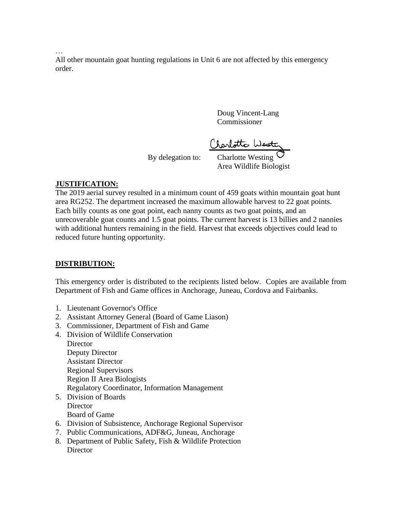…

All other mountain goat hunting regulations in Unit 6 are not affected by this emergency order.

> Doug Vincent-Lang Commissioner

('rarlotte Wester

By delegation to: Charlotte Westing Area Wildlife Biologist

### **JUSTIFICATION:**

The 2019 aerial survey resulted in a minimum count of 459 goats within mountain goat hunt area RG252. The department increased the maximum allowable harvest to 22 goat points. Each billy counts as one goat point, each nanny counts as two goat points, and an unrecoverable goat counts and 1.5 goat points. The current harvest is 13 billies and 2 nannies with additional hunters remaining in the field. Harvest that exceeds objectives could lead to reduced future hunting opportunity.

### **DISTRIBUTION:**

This emergency order is distributed to the recipients listed below. Copies are available from Department of Fish and Game offices in Anchorage, Juneau, Cordova and Fairbanks.

- 1. Lieutenant Governor's Office
- 2. Assistant Attorney General (Board of Game Liason)
- 3. Commissioner, Department of Fish and Game
- 4. Division of Wildlife Conservation **Director** 
	- Deputy Director Assistant Director Regional Supervisors Region II Area Biologists Regulatory Coordinator, Information Management
- 5. Division of Boards **Director** Board of Game
- 6. Division of Subsistence, Anchorage Regional Supervisor
- 7. Public Communications, ADF&G, Juneau, Anchorage
- 8. Department of Public Safety, Fish & Wildlife Protection **Director**